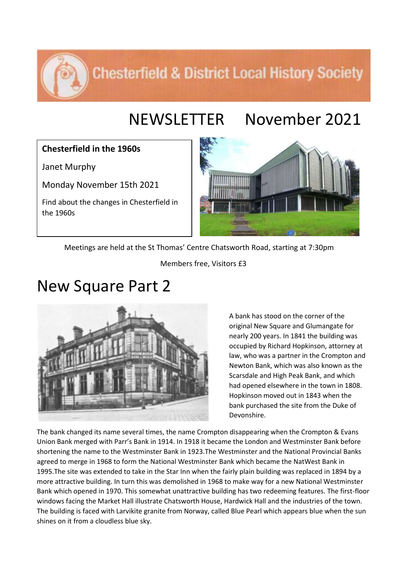### **Chesterfield & District Local History Society**

## NEWSLETTER November 2021

### **Chesterfield in the 1960s**

Janet Murphy

Monday November 15th 2021

Find about the changes in Chesterfield in the 1960s



Meetings are held at the St Thomas' Centre Chatsworth Road, starting at 7:30pm

Members free, Visitors £3

# New Square Part 2



A bank has stood on the corner of the original New Square and Glumangate for nearly 200 years. In 1841 the building was occupied by Richard Hopkinson, attorney at law, who was a partner in the Crompton and Newton Bank, which was also known as the Scarsdale and High Peak Bank, and which had opened elsewhere in the town in 1808. Hopkinson moved out in 1843 when the bank purchased the site from the Duke of Devonshire.

The bank changed its name several times, the name Crompton disappearing when the Crompton & Evans Union Bank merged with Parr's Bank in 1914. In 1918 it became the London and Westminster Bank before shortening the name to the Westminster Bank in 1923.The Westminster and the National Provincial Banks agreed to merge in 1968 to form the National Westminster Bank which became the NatWest Bank in 1995.The site was extended to take in the Star Inn when the fairly plain building was replaced in 1894 by a more attractive building. In turn this was demolished in 1968 to make way for a new National Westminster Bank which opened in 1970. This somewhat unattractive building has two redeeming features. The first-floor windows facing the Market Hall illustrate Chatsworth House, Hardwick Hall and the industries of the town. The building is faced with Larvikite granite from Norway, called Blue Pearl which appears blue when the sun shines on it from a cloudless blue sky.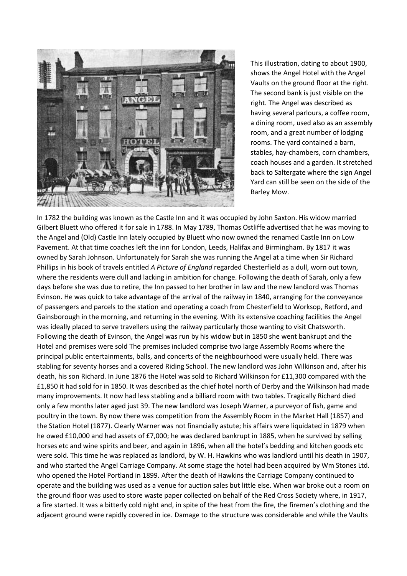

This illustration, dating to about 1900, shows the Angel Hotel with the Angel Vaults on the ground floor at the right. The second bank is just visible on the right. The Angel was described as having several parlours, a coffee room, a dining room, used also as an assembly room, and a great number of lodging rooms. The yard contained a barn, stables, hay-chambers, corn chambers, coach houses and a garden. It stretched back to Saltergate where the sign Angel Yard can still be seen on the side of the Barley Mow.

In 1782 the building was known as the Castle Inn and it was occupied by John Saxton. His widow married Gilbert Bluett who offered it for sale in 1788. In May 1789, Thomas Ostliffe advertised that he was moving to the Angel and (Old) Castle Inn lately occupied by Bluett who now owned the renamed Castle Inn on Low Pavement. At that time coaches left the inn for London, Leeds, Halifax and Birmingham. By 1817 it was owned by Sarah Johnson. Unfortunately for Sarah she was running the Angel at a time when Sir Richard Phillips in his book of travels entitled *A Picture of England* regarded Chesterfield as a dull, worn out town, where the residents were dull and lacking in ambition for change. Following the death of Sarah, only a few days before she was due to retire, the Inn passed to her brother in law and the new landlord was Thomas Evinson. He was quick to take advantage of the arrival of the railway in 1840, arranging for the conveyance of passengers and parcels to the station and operating a coach from Chesterfield to Worksop, Retford, and Gainsborough in the morning, and returning in the evening. With its extensive coaching facilities the Angel was ideally placed to serve travellers using the railway particularly those wanting to visit Chatsworth. Following the death of Evinson, the Angel was run by his widow but in 1850 she went bankrupt and the Hotel and premises were sold The premises included comprise two large Assembly Rooms where the principal public entertainments, balls, and concerts of the neighbourhood were usually held. There was stabling for seventy horses and a covered Riding School. The new landlord was John Wilkinson and, after his death, his son Richard. In June 1876 the Hotel was sold to Richard Wilkinson for £11,300 compared with the £1,850 it had sold for in 1850. It was described as the chief hotel north of Derby and the Wilkinson had made many improvements. It now had less stabling and a billiard room with two tables. Tragically Richard died only a few months later aged just 39. The new landlord was Joseph Warner, a purveyor of fish, game and poultry in the town. By now there was competition from the Assembly Room in the Market Hall (1857) and the Station Hotel (1877). Clearly Warner was not financially astute; his affairs were liquidated in 1879 when he owed £10,000 and had assets of £7,000; he was declared bankrupt in 1885, when he survived by selling horses etc and wine spirits and beer, and again in 1896, when all the hotel's bedding and kitchen goods etc were sold. This time he was replaced as landlord, by W. H. Hawkins who was landlord until his death in 1907, and who started the Angel Carriage Company. At some stage the hotel had been acquired by Wm Stones Ltd. who opened the Hotel Portland in 1899. After the death of Hawkins the Carriage Company continued to operate and the building was used as a venue for auction sales but little else. When war broke out a room on the ground floor was used to store waste paper collected on behalf of the Red Cross Society where, in 1917, a fire started. It was a bitterly cold night and, in spite of the heat from the fire, the firemen's clothing and the adjacent ground were rapidly covered in ice. Damage to the structure was considerable and while the Vaults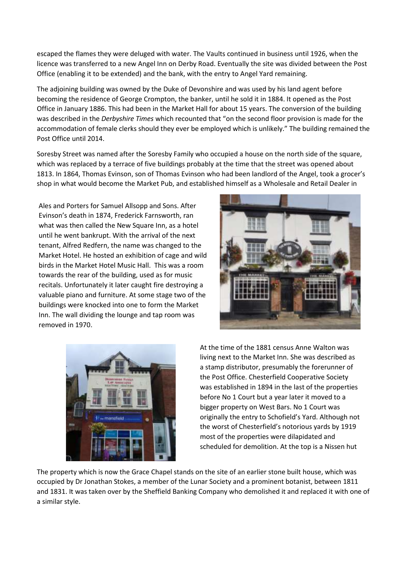escaped the flames they were deluged with water. The Vaults continued in business until 1926, when the licence was transferred to a new Angel Inn on Derby Road. Eventually the site was divided between the Post Office (enabling it to be extended) and the bank, with the entry to Angel Yard remaining.

The adjoining building was owned by the Duke of Devonshire and was used by his land agent before becoming the residence of George Crompton, the banker, until he sold it in 1884. It opened as the Post Office in January 1886. This had been in the Market Hall for about 15 years. The conversion of the building was described in the *Derbyshire Times* which recounted that "on the second floor provision is made for the accommodation of female clerks should they ever be employed which is unlikely." The building remained the Post Office until 2014.

Soresby Street was named after the Soresby Family who occupied a house on the north side of the square, which was replaced by a terrace of five buildings probably at the time that the street was opened about 1813. In 1864, Thomas Evinson, son of Thomas Evinson who had been landlord of the Angel, took a grocer's shop in what would become the Market Pub, and established himself as a Wholesale and Retail Dealer in

Ales and Porters for Samuel Allsopp and Sons. After Evinson's death in 1874, Frederick Farnsworth, ran what was then called the New Square Inn, as a hotel until he went bankrupt. With the arrival of the next tenant, Alfred Redfern, the name was changed to the Market Hotel. He hosted an exhibition of cage and wild birds in the Market Hotel Music Hall. This was a room towards the rear of the building, used as for music recitals. Unfortunately it later caught fire destroying a valuable piano and furniture. At some stage two of the buildings were knocked into one to form the Market Inn. The wall dividing the lounge and tap room was removed in 1970.





At the time of the 1881 census Anne Walton was living next to the Market Inn. She was described as a stamp distributor, presumably the forerunner of the Post Office. Chesterfield Cooperative Society was established in 1894 in the last of the properties before No 1 Court but a year later it moved to a bigger property on West Bars. No 1 Court was originally the entry to Schofield's Yard. Although not the worst of Chesterfield's notorious yards by 1919 most of the properties were dilapidated and scheduled for demolition. At the top is a Nissen hut

The property which is now the Grace Chapel stands on the site of an earlier stone built house, which was occupied by Dr Jonathan Stokes, a member of the Lunar Society and a prominent botanist, between 1811 and 1831. It was taken over by the Sheffield Banking Company who demolished it and replaced it with one of a similar style.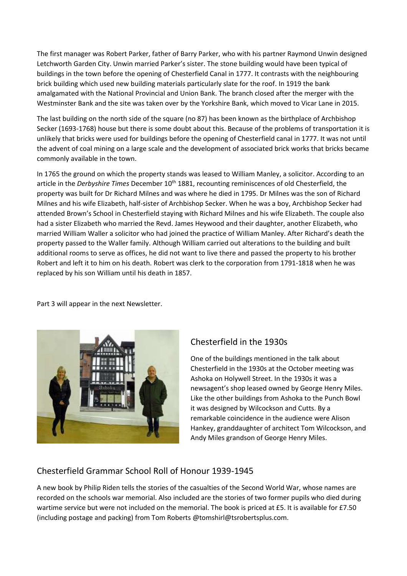The first manager was Robert Parker, father of Barry Parker, who with his partner Raymond Unwin designed Letchworth Garden City. Unwin married Parker's sister. The stone building would have been typical of buildings in the town before the opening of Chesterfield Canal in 1777. It contrasts with the neighbouring brick building which used new building materials particularly slate for the roof. In 1919 the bank amalgamated with the National Provincial and Union Bank. The branch closed after the merger with the Westminster Bank and the site was taken over by the Yorkshire Bank, which moved to Vicar Lane in 2015.

The last building on the north side of the square (no 87) has been known as the birthplace of Archbishop Secker (1693-1768) house but there is some doubt about this. Because of the problems of transportation it is unlikely that bricks were used for buildings before the opening of Chesterfield canal in 1777. It was not until the advent of coal mining on a large scale and the development of associated brick works that bricks became commonly available in the town.

In 1765 the ground on which the property stands was leased to William Manley, a solicitor. According to an article in the *Derbyshire Times* December 10<sup>th</sup> 1881, recounting reminiscences of old Chesterfield, the property was built for Dr Richard Milnes and was where he died in 1795. Dr Milnes was the son of Richard Milnes and his wife Elizabeth, half-sister of Archbishop Secker. When he was a boy, Archbishop Secker had attended Brown's School in Chesterfield staying with Richard Milnes and his wife Elizabeth. The couple also had a sister Elizabeth who married the Revd. James Heywood and their daughter, another Elizabeth, who married William Waller a solicitor who had joined the practice of William Manley. After Richard's death the property passed to the Waller family. Although William carried out alterations to the building and built additional rooms to serve as offices, he did not want to live there and passed the property to his brother Robert and left it to him on his death. Robert was clerk to the corporation from 1791-1818 when he was replaced by his son William until his death in 1857.

Part 3 will appear in the next Newsletter.



### Chesterfield in the 1930s

One of the buildings mentioned in the talk about Chesterfield in the 1930s at the October meeting was Ashoka on Holywell Street. In the 1930s it was a newsagent's shop leased owned by George Henry Miles. Like the other buildings from Ashoka to the Punch Bowl it was designed by Wilcockson and Cutts. By a remarkable coincidence in the audience were Alison Hankey, granddaughter of architect Tom Wilcockson, and Andy Miles grandson of George Henry Miles.

### Chesterfield Grammar School Roll of Honour 1939-1945

A new book by Philip Riden tells the stories of the casualties of the Second World War, whose names are recorded on the schools war memorial. Also included are the stories of two former pupils who died during wartime service but were not included on the memorial. The book is priced at £5. It is available for £7.50 (including postage and packing) from Tom Roberts @tomshirl@tsrobertsplus.com.